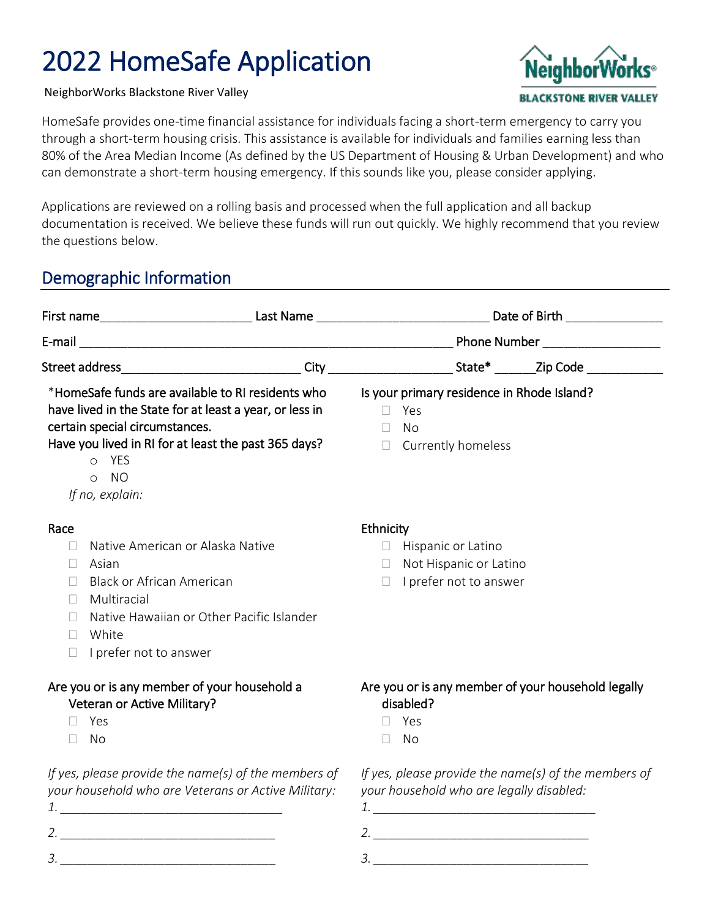# 2022 HomeSafe Application

NeighborWorks Blackstone River Valley

HomeSafe provides one-time financial assistance for individuals facing a short-term emergency to carry you through a short-term housing crisis. This assistance is available for individuals and families earning less than 80% of the Area Median Income (As defined by the US Department of Housing & Urban Development) and who can demonstrate a short-term housing emergency. If this sounds like you, please consider applying.

Applications are reviewed on a rolling basis and processed when the full application and all backup documentation is received. We believe these funds will run out quickly. We highly recommend that you review the questions below.

## Demographic Information

*3. \_\_\_\_\_\_\_\_\_\_\_\_\_\_\_\_\_\_\_\_\_\_\_\_\_\_\_\_\_\_\_*

|                                                                                                                                                                                                                                                                     | First name_______________________________Last Name _________________________________Date of Birth __________________ |  |
|---------------------------------------------------------------------------------------------------------------------------------------------------------------------------------------------------------------------------------------------------------------------|----------------------------------------------------------------------------------------------------------------------|--|
|                                                                                                                                                                                                                                                                     |                                                                                                                      |  |
|                                                                                                                                                                                                                                                                     | Street address________________________________City _______________________State* _______Zip Code _____________       |  |
| *HomeSafe funds are available to RI residents who<br>have lived in the State for at least a year, or less in<br>certain special circumstances.<br>Have you lived in RI for at least the past 365 days?<br>YES<br>$\circ$<br><b>NO</b><br>$\circ$<br>If no, explain: | Is your primary residence in Rhode Island?<br>Yes<br>П.<br>No<br>$\Box$<br>Currently homeless<br>$\Box$              |  |
| Race<br>Native American or Alaska Native<br>П<br>Asian<br>$\Box$<br><b>Black or African American</b><br>П<br>Multiracial<br>$\Box$<br>Native Hawaiian or Other Pacific Islander<br>$\mathbf{L}$<br>White<br>$\Box$<br>I prefer not to answer<br>П                   | Ethnicity<br>$\Box$ Hispanic or Latino<br>Not Hispanic or Latino<br>$\Box$<br>I prefer not to answer<br>$\Box$       |  |
| Are you or is any member of your household a<br>Veteran or Active Military?<br>Yes<br>No<br>П                                                                                                                                                                       | Are you or is any member of your household legally<br>disabled?<br>Yes<br>No<br>П                                    |  |
| If yes, please provide the name(s) of the members of<br>your household who are Veterans or Active Military:                                                                                                                                                         | If yes, please provide the name(s) of the members of<br>your household who are legally disabled:                     |  |

*3. \_\_\_\_\_\_\_\_\_\_\_\_\_\_\_\_\_\_\_\_\_\_\_\_\_\_\_\_\_\_\_*

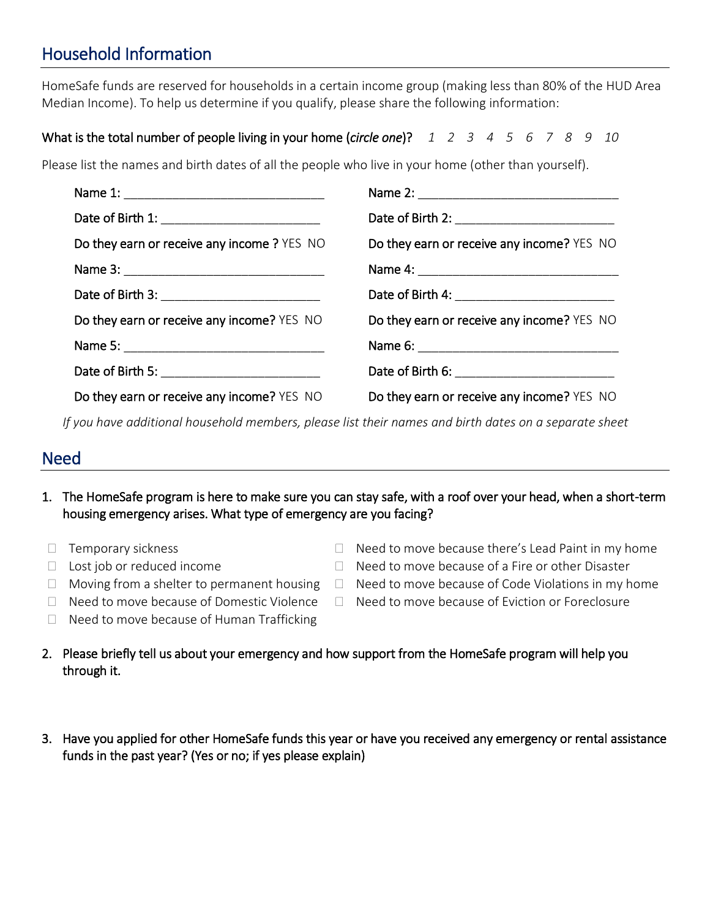# Household Information

HomeSafe funds are reserved for households in a certain income group (making less than 80% of the HUD Area Median Income). To help us determine if you qualify, please share the following information:

### What is the total number of people living in your home (*circle one*)? *1 2 3 4 5 6 7 8 9 10*

Please list the names and birth dates of all the people who live in your home (other than yourself).

| Do they earn or receive any income? YES NO | Do they earn or receive any income? YES NO |
|--------------------------------------------|--------------------------------------------|
|                                            |                                            |
|                                            |                                            |
| Do they earn or receive any income? YES NO | Do they earn or receive any income? YES NO |
|                                            |                                            |
|                                            |                                            |
| Do they earn or receive any income? YES NO | Do they earn or receive any income? YES NO |

*If you have additional household members, please list their names and birth dates on a separate sheet*

### Need

- 1. The HomeSafe program is here to make sure you can stay safe, with a roof over your head, when a short-term housing emergency arises. What type of emergency are you facing?
- $\Box$  Temporary sickness
- $\Box$  Lost job or reduced income
- 
- $\Box$  Need to move because there's Lead Paint in my home
- $\Box$  Need to move because of a Fire or other Disaster
- $\Box$  Moving from a shelter to permanent housing  $\Box$  Need to move because of Code Violations in my home
	- $\Box$  Need to move because of Eviction or Foreclosure
- □ Need to move because of Domestic Violence  $\Box$  Need to move because of Human Trafficking
- 2. Please briefly tell us about your emergency and how support from the HomeSafe program will help you through it.
- 3. Have you applied for other HomeSafe funds this year or have you received any emergency or rental assistance funds in the past year? (Yes or no; if yes please explain)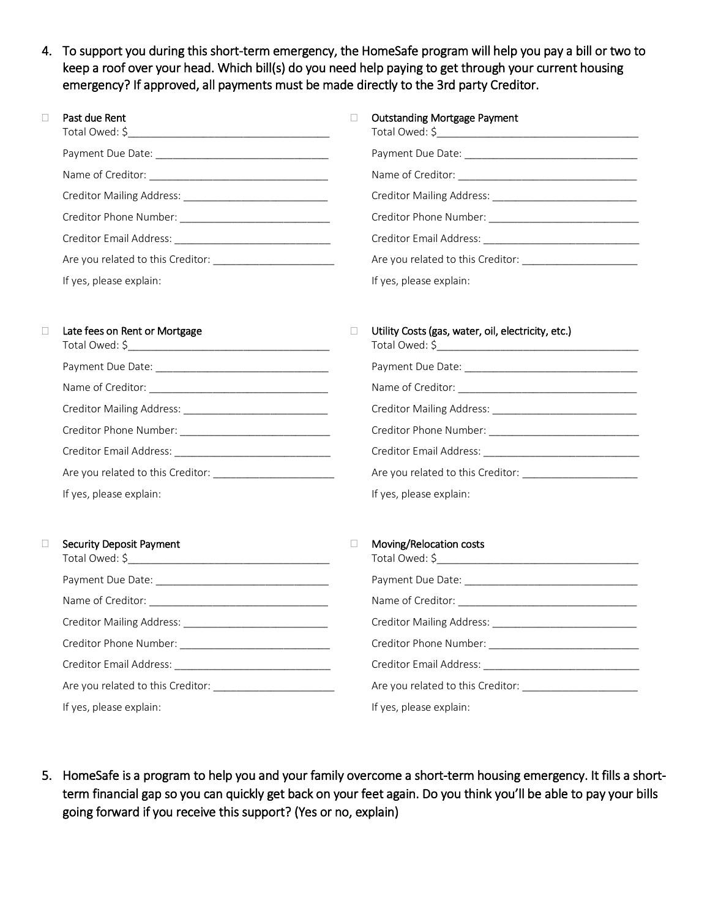4. To support you during this short-term emergency, the HomeSafe program will help you pay a bill or two to keep a roof over your head. Which bill(s) do you need help paying to get through your current housing emergency? If approved, all payments must be made directly to the 3rd party Creditor.

| Past due Rent           | <b>Outstanding Mortgage Payment</b> |
|-------------------------|-------------------------------------|
|                         |                                     |
|                         |                                     |
|                         |                                     |
|                         |                                     |
|                         |                                     |
|                         | Are you related to this Creditor:   |
| If yes, please explain: | If yes, please explain:             |

#### □ Late fees on Rent or Mortgage

| If yes, please explain: |  |  |
|-------------------------|--|--|

### **Utility Costs (gas, water, oil, electricity, etc.)** Total Owed: \$\_\_\_\_\_\_\_\_\_\_\_\_\_\_\_\_\_\_\_\_\_\_\_\_\_\_\_\_\_\_\_\_\_\_\_

| If yes, please explain: |  |
|-------------------------|--|

#### Security Deposit Payment

| If yes, please explain: |  |
|-------------------------|--|

#### □ Moving/Relocation costs

| If yes, please explain: |
|-------------------------|

5. HomeSafe is a program to help you and your family overcome a short-term housing emergency. It fills a shortterm financial gap so you can quickly get back on your feet again. Do you think you'll be able to pay your bills going forward if you receive this support? (Yes or no, explain)